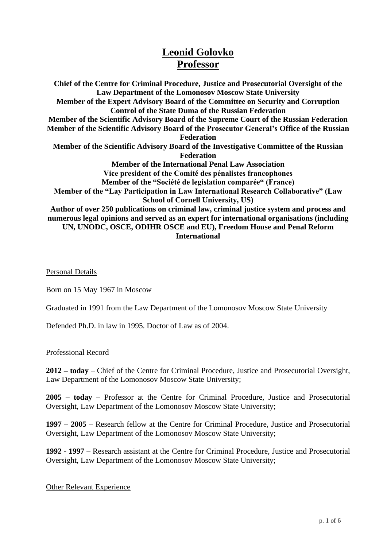## **Leonid Golovko Professor**

**Chief of the Centre for Criminal Procedure, Justice and Prosecutorial Oversight of the Law Department of the Lomonosov Moscow State University Member of the Expert Advisory Board of the Committee on Security and Corruption Control of the State Duma of the Russian Federation Member of the Scientific Advisory Board of the Supreme Court of the Russian Federation Member of the Scientific Advisory Board of the Prosecutor General's Office of the Russian Federation Member of the Scientific Advisory Board of the Investigative Committee of the Russian Federation Member of the International Penal Law Association Vice president of the Comité des pénalistes francophones Member of the "Société de legislation comparée" (France) Member of the "Lay Participation in Law International Research Collaborative" (Law School of Cornell University, US) Author of over 250 publications on criminal law, criminal justice system and process and numerous legal opinions and served as an expert for international organisations (including UN, UNODC, OSCE, ODIHR OSCE and EU), Freedom House and Penal Reform International**

Personal Details

Born on 15 May 1967 in Moscow

Graduated in 1991 from the Law Department of the Lomonosov Moscow State University

Defended Ph.D. in law in 1995. Doctor of Law as of 2004.

Professional Record

**2012 – today** – Chief of the Centre for Criminal Procedure, Justice and Prosecutorial Oversight, Law Department of the Lomonosov Moscow State University;

**2005 – today** – Professor at the Centre for Criminal Procedure, Justice and Prosecutorial Oversight, Law Department of the Lomonosov Moscow State University;

**1997 – 2005** – Research fellow at the Centre for Criminal Procedure, Justice and Prosecutorial Oversight, Law Department of the Lomonosov Moscow State University;

**1992 - 1997 –** Research assistant at the Centre for Criminal Procedure, Justice and Prosecutorial Oversight, Law Department of the Lomonosov Moscow State University;

## Other Relevant Experience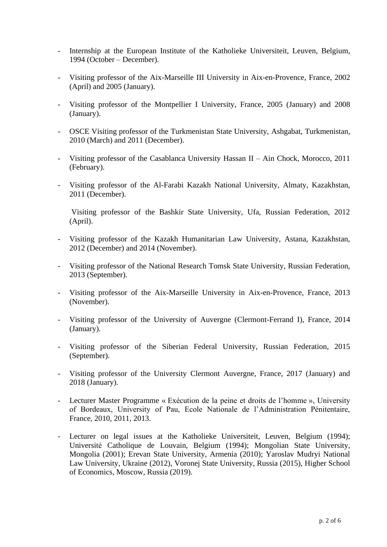- Internship at the European Institute of the Katholieke Universiteit, Leuven, Belgium, 1994 (October – December).
- Visiting professor of the Aix-Marseille III University in Aix-en-Provence, France, 2002 (April) and 2005 (January).
- Visiting professor of the Montpellier I University, France, 2005 (January) and 2008 (January).
- OSCE Visiting professor of the Turkmenistan State University, Ashgabat, Turkmenistan, 2010 (March) and 2011 (December).
- Visiting professor of the Casablanca University Hassan II Ain Chock, Morocco, 2011 (February).
- Visiting professor of the Al-Farabi Kazakh National University, Almaty, Kazakhstan, 2011 (December).

Visiting professor of the Bashkir State University, Ufa, Russian Federation, 2012 (April).

- Visiting professor of the Kazakh Humanitarian Law University, Astana, Kazakhstan, 2012 (December) and 2014 (November).
- Visiting professor of the National Research Tomsk State University, Russian Federation, 2013 (September).
- Visiting professor of the Aix-Marseille University in Aix-en-Provence, France, 2013 (November).
- Visiting professor of the University of Auvergne (Clermont-Ferrand I), France, 2014 (January).
- Visiting professor of the Siberian Federal University, Russian Federation, 2015 (September).
- Visiting professor of the University Clermont Auvergne, France, 2017 (January) and 2018 (January).
- Lecturer Master Programme « Exécution de la peine et droits de l'homme », University of Bordeaux, University of Pau, Ecole Nationale de l'Administration Pénitentaire, France, 2010, 2011, 2013.
- Lecturer on legal issues at the Katholieke Universiteit, Leuven, Belgium (1994); Université Catholique de Louvain, Belgium (1994); Mongolian State University, Mongolia (2001); Erevan State University, Armenia (2010); Yaroslav Mudryi National Law University, Ukraine (2012), Voronej State University, Russia (2015), Higher School of Economics, Moscow, Russia (2019).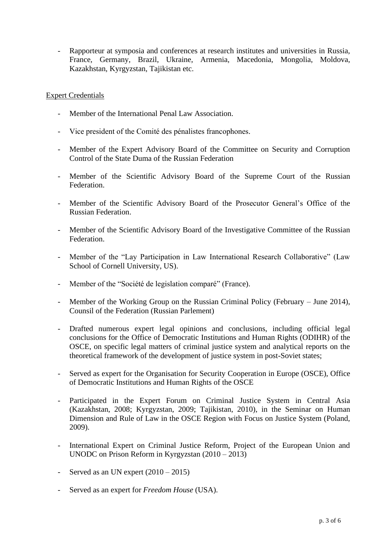- Rapporteur at symposia and conferences at research institutes and universities in Russia, France, Germany, Brazil, Ukraine, Armenia, Macedonia, Mongolia, Moldova, Kazakhstan, Kyrgyzstan, Tajikistan etc.

## Expert Credentials

- Member of the International Penal Law Association.
- Vice president of the Comité des pénalistes francophones.
- Member of the Expert Advisory Board of the Committee on Security and Corruption Control of the State Duma of the Russian Federation
- Member of the Scientific Advisory Board of the Supreme Court of the Russian Federation.
- Member of the Scientific Advisory Board of the Prosecutor General's Office of the Russian Federation.
- Member of the Scientific Advisory Board of the Investigative Committee of the Russian Federation.
- Member of the "Lay Participation in Law International Research Collaborative" (Law School of Cornell University, US).
- Member of the "Société de legislation comparé" (France).
- Member of the Working Group on the Russian Criminal Policy (February June 2014), Counsil of the Federation (Russian Parlement)
- Drafted numerous expert legal opinions and conclusions, including official legal conclusions for the Office of Democratic Institutions and Human Rights (ODIHR) of the OSCE, on specific legal matters of criminal justice system and analytical reports on the theoretical framework of the development of justice system in post-Soviet states;
- Served as expert for the Organisation for Security Cooperation in Europe (OSCE), Office of Democratic Institutions and Human Rights of the OSCE
- Participated in the Expert Forum on Criminal Justice System in Central Asia (Kazakhstan, 2008; Kyrgyzstan, 2009; Tajikistan, 2010), in the Seminar on Human Dimension and Rule of Law in the OSCE Region with Focus on Justice System (Poland, 2009).
- International Expert on Criminal Justice Reform, Project of the European Union and UNODC on Prison Reform in Kyrgyzstan (2010 – 2013)
- Served as an UN expert  $(2010 2015)$
- Served as an expert for *Freedom House* (USA).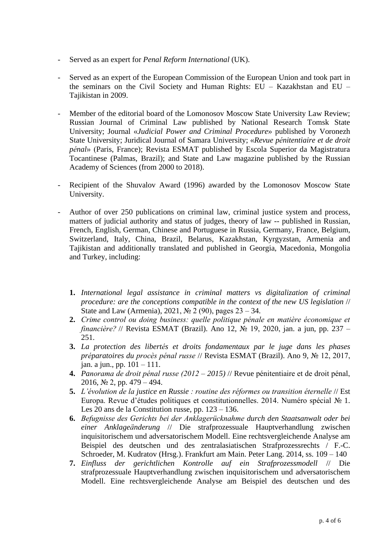- Served as an expert for *Penal Reform International* (UK).
- Served as an expert of the European Commission of the European Union and took part in the seminars on the Civil Society and Human Rights: EU – Kazakhstan and EU – Tajikistan in 2009.
- Member of the editorial board of the Lomonosov Moscow State University Law Review; Russian Journal of Criminal Law published by National Research Tomsk State University; Journal «*Judicial Power and Criminal Procedure*» published by Voronezh State University; Juridical Journal of Samara University; «*Revue pénitentiaire et de droit pénal*» (Paris, France); Revista ESMAT published by Escola Superior da Magistratura Tocantinese (Palmas, Brazil); and State and Law magazine published by the Russian Academy of Sciences (from 2000 to 2018).
- Recipient of the Shuvalov Award (1996) awarded by the Lomonosov Moscow State University.
- Author of over 250 publications on criminal law, criminal justice system and process, matters of judicial authority and status of judges, theory of law -- published in Russian, French, English, German, Chinese and Portuguese in Russia, Germany, France, Belgium, Switzerland, Italy, China, Brazil, Belarus, Kazakhstan, Kyrgyzstan, Armenia and Tajikistan and additionally translated and published in Georgia, Macedonia, Mongolia and Turkey, including:
	- **1.** *International legal assistance in criminal matters vs digitalization of criminal procedure: are the conceptions compatible in the context of the new US legislation* // State and Law (Armenia), 2021, № 2 (90), pages  $23 - 34$ .
	- **2.** *Crime control ou doing business: quelle politique pénale en matière économique et financière?* // Revista ESMAT (Brazil). Ano 12, № 19, 2020, jan. a jun, pp. 237 – 251.
	- **3.** *La protection des libertés et droits fondamentaux par le juge dans les phases préparatoires du procès pénal russe* // Revista ESMAT (Brazil). Ano 9, № 12, 2017, jan. a jun., pp. 101 – 111.
	- **4.** *Panorama de droit pénal russe (2012 – 2015)* // Revue pénitentiaire et de droit pénal, 2016, № 2, pp. 479 – 494.
	- **5.** *L'évolution de la justice en Russie : routine des réformes ou transition éternelle* // Est Europa. Revue d'études politiques et constitutionnelles. 2014. Numéro spécial № 1. Les 20 ans de la Constitution russe, pp. 123 – 136.
	- **6.** *Befugnisse des Gerichts bei der Anklagerücknahme durch den Staatsanwalt oder bei einer Anklageänderung* // Die strafprozessuale Hauptverhandlung zwischen inquisitorischem und adversatorischem Modell. Eine rechtsvergleichende Analyse am Beispiel des deutschen und des zentralasiatischen Strafprozessrechts / F.-C. Schroeder, M. Kudratov (Hrsg.). Frankfurt am Main. Peter Lang. 2014, ss. 109 – 140
	- **7.** *Einfluss der gerichtlichen Kontrolle auf ein Strafprozessmodell* // Die strafprozessuale Hauptverhandlung zwischen inquisitorischem und adversatorischem Modell. Eine rechtsvergleichende Analyse am Beispiel des deutschen und des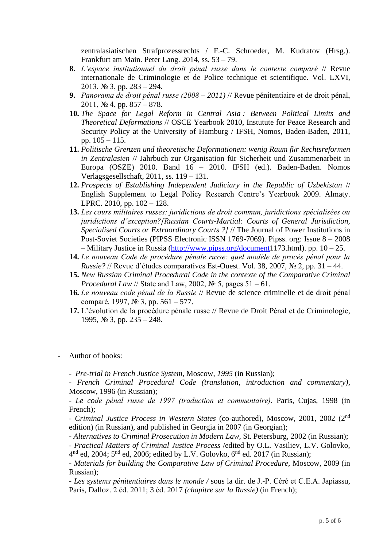zentralasiatischen Strafprozessrechts / F.-C. Schroeder, M. Kudratov (Hrsg.). Frankfurt am Main. Peter Lang. 2014, ss. 53 – 79.

- **8.** *L'espace institutionnel du droit pénal russe dans le contexte comparé* // Revue internationale de Criminologie et de Police technique et scientifique. Vol. LXVI, 2013, № 3, pp. 283 – 294.
- **9.** *Panorama de droit pénal russe (2008 – 2011)* // Revue pénitentiaire et de droit pénal, 2011, № 4, pp. 857 – 878.
- **10.** *The Space for Legal Reform in Central Asia : Between Political Limits and Theoretical Deformations* // OSCE Yearbook 2010, Instutute for Peace Research and Security Policy at the University of Hamburg / IFSH, Nomos, Baden-Baden, 2011, pp.  $105 - 115$ .
- **11.** *Politische Grenzen und theoretische Deformationen: wenig Raum für Rechtsreformen in Zentralasien* // Jahrbuch zur Organisation für Sicherheit und Zusammenarbeit in Europa (OSZE) 2010. Band 16 – 2010. IFSH (ed.). Baden-Baden. Nomos Verlagsgesellschaft, 2011, ss. 119 – 131.
- **12.** *Prospects of Establishing Independent Judiciary in the Republic of Uzbekistan* // English Supplement to Legal Policy Research Centre's Yearbook 2009. Almaty. LPRC. 2010, pp. 102 – 128.
- **13.** *Les cours militaires russes: juridictions de droit commun, juridictions spécialisées ou juridictions d'exception?[Russian Courts-Martial: Courts of General Jurisdiction, Specialised Courts or Extraordinary Courts ?]* // The Journal of Power Institutions in Post-Soviet Societies (PIPSS Electronic ISSN 1769-7069). Pipss. org: Issue 8 – 2008 – Military Justice in Russia [\(http://www.pipss.org/document1](http://www.pipss.org/document)173.html). pp. 10 – 25.
- **14.** *Le nouveau Code de procédure pénale russe: quel modèle de procès pénal pour la Russie?* // Revue d'études comparatives Est-Ouest. Vol. 38, 2007, № 2, pp. 31 – 44.
- **15.** *New Russian Criminal Procedural Code in the contexte of the Comparative Criminal Procedural Law* // State and Law, 2002, № 5, pages 51 – 61.
- **16.** *Le nouveau code pénal de la Russie* // Revue de science criminelle et de droit pénal comparé, 1997, № 3, pp. 561 – 577.
- **17.** L'évolution de la procédure pénale russe // Revue de Droit Pénal et de Criminologie, 1995, № 3, pp. 235 – 248.
- Author of books:
	- *- Pre-trial in French Justice System,* Moscow, *1995* (in Russian);

*- French Criminal Procedural Code (translation, introduction and commentary)*, Moscow, 1996 (in Russian);

*- Le code pénal russe de 1997 (traduction et commentaire)*. Paris, Cujas, 1998 (in French);

*- Criminal Justice Process in Western States* (co-authored), Moscow, 2001, 2002 (2nd edition) (in Russian), and published in Georgia in 2007 (in Georgian);

*- Alternatives to Criminal Prosecution in Modern Law,* St. Petersburg*,* 2002 (in Russian);

- *Practical Matters of Сriminal Justice Process* /edited by O.L. Vasiliev, L.V. Golovko,  $4<sup>nd</sup>$  ed, 2004;  $5<sup>nd</sup>$  ed, 2006; edited by L.V. Golovko,  $6<sup>nd</sup>$  ed. 2017 (in Russian);

- *Materials for building the Comparative Law of Criminal Procedure,* Moscow, 2009 (in Russian);

*- Les systems pénitentiaires dans le monde /* sous la dir. de J.-P. Céré et C.E.A. Japiassu*,*  Paris, Dalloz. 2 éd. 2011; 3 éd. 2017 *(chapitre sur la Russie)* (in French);